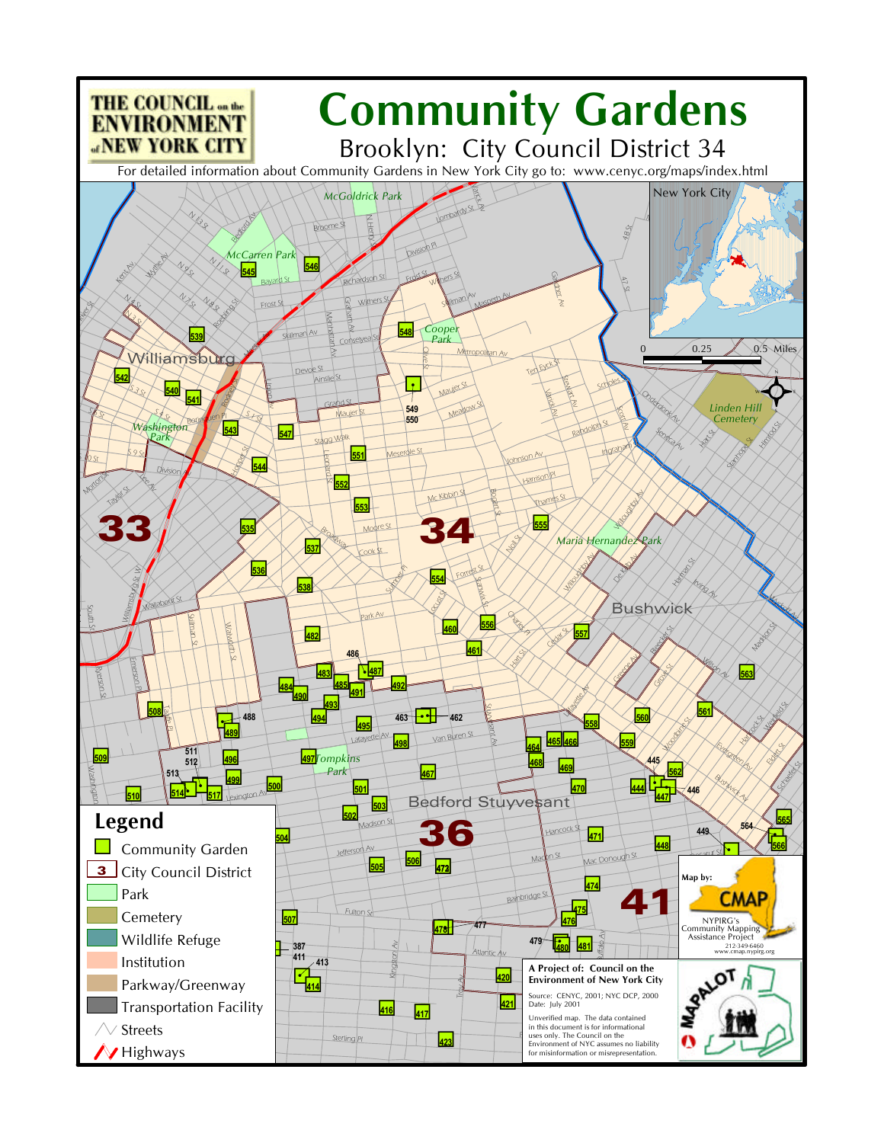